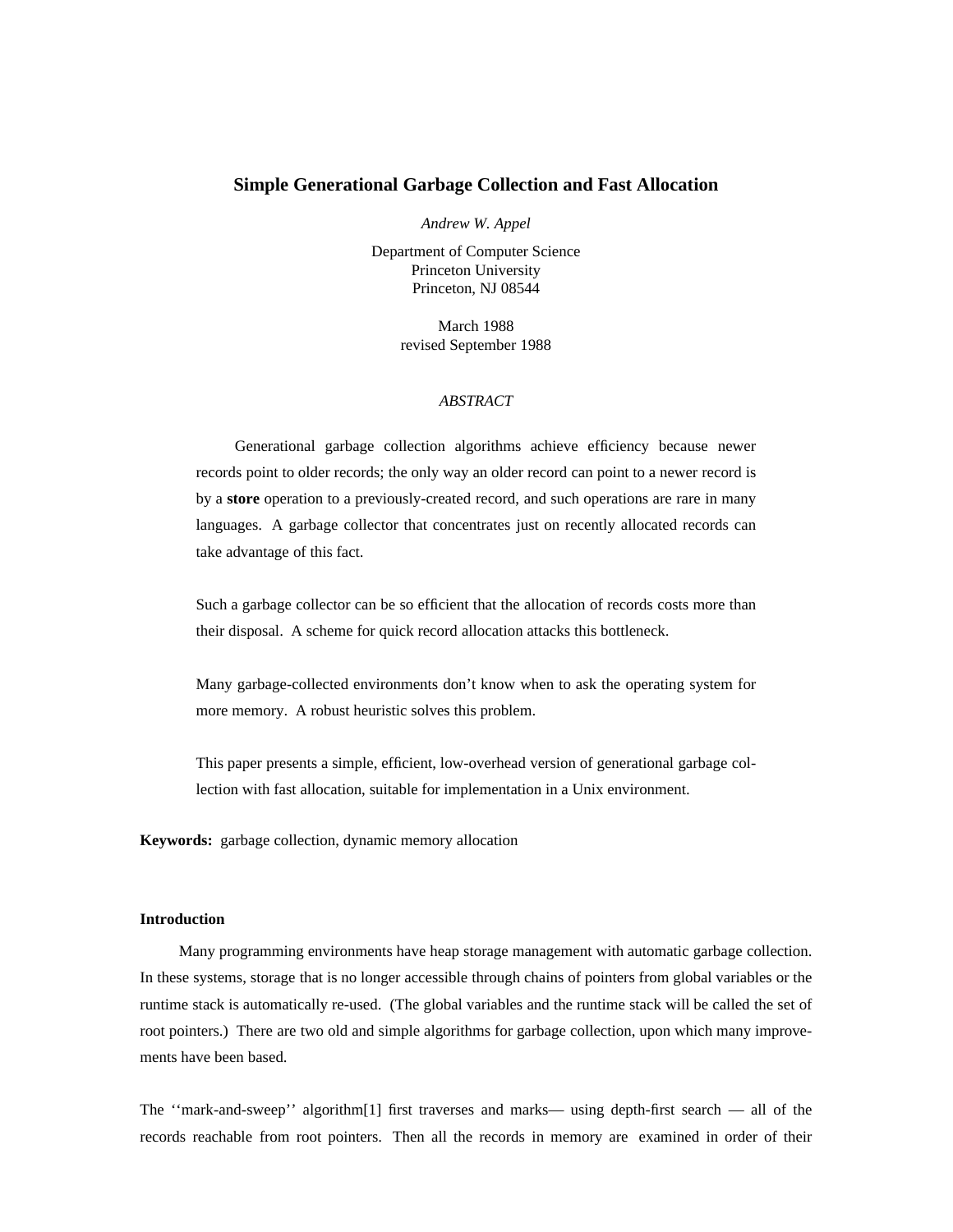## **Simple Generational Garbage Collection and Fast Allocation**

*Andrew W. Appel*

Department of Computer Science Princeton University Princeton, NJ 08544

> March 1988 revised September 1988

## *ABSTRACT*

Generational garbage collection algorithms achieve efficiency because newer records point to older records; the only way an older record can point to a newer record is by a **store** operation to a previously-created record, and such operations are rare in many languages. A garbage collector that concentrates just on recently allocated records can take advantage of this fact.

Such a garbage collector can be so efficient that the allocation of records costs more than their disposal. A scheme for quick record allocation attacks this bottleneck.

Many garbage-collected environments don't know when to ask the operating system for more memory. A robust heuristic solves this problem.

This paper presents a simple, efficient, low-overhead version of generational garbage collection with fast allocation, suitable for implementation in a Unix environment.

**Keywords:** garbage collection, dynamic memory allocation

### **Introduction**

Many programming environments have heap storage management with automatic garbage collection. In these systems, storage that is no longer accessible through chains of pointers from global variables or the runtime stack is automatically re-used. (The global variables and the runtime stack will be called the set of root pointers.) There are two old and simple algorithms for garbage collection, upon which many improvements have been based.

The ''mark-and-sweep'' algorithm[1] first traverses and marks— using depth-first search — all of the records reachable from root pointers. Then all the records in memory are examined in order of their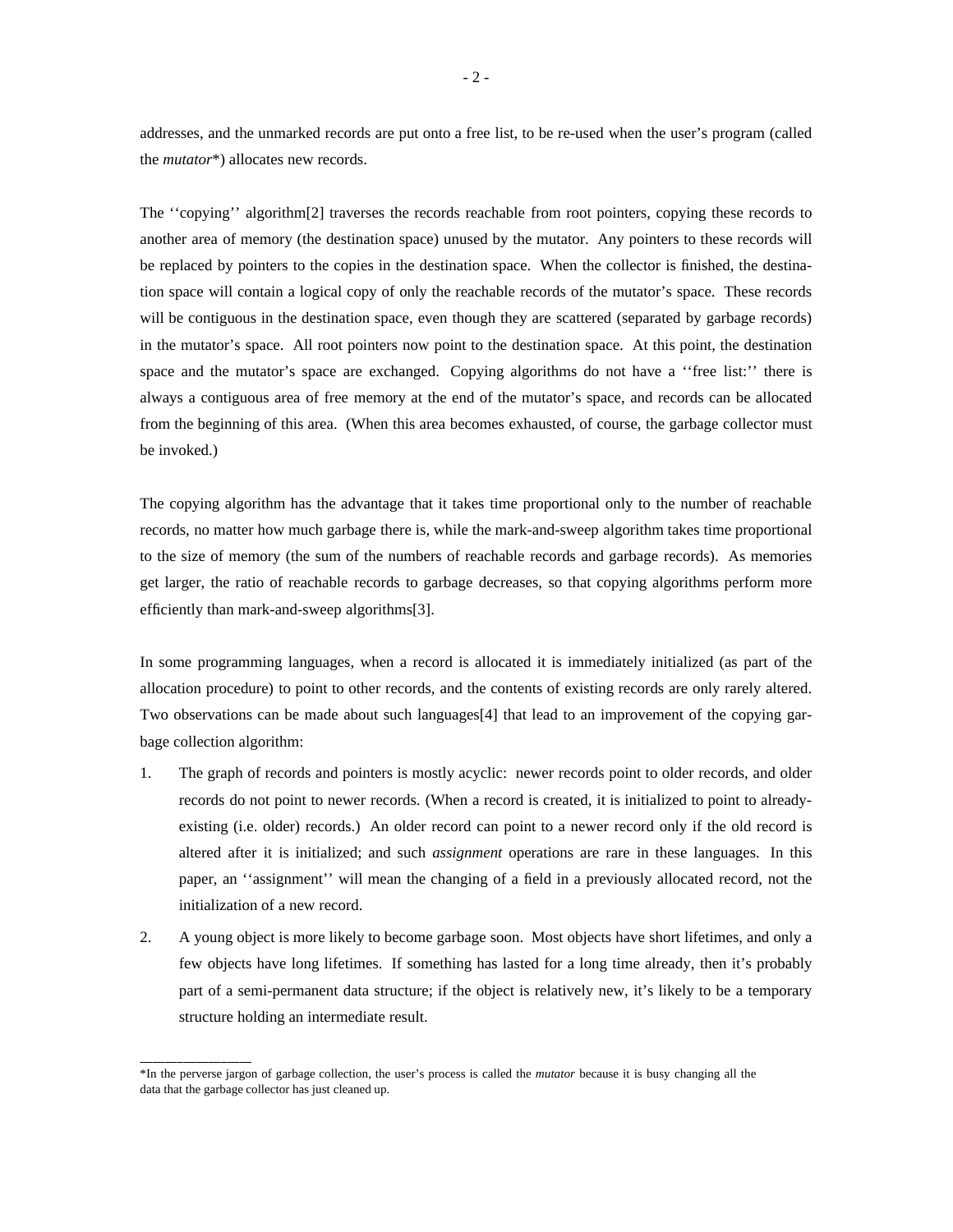addresses, and the unmarked records are put onto a free list, to be re-used when the user's program (called the *mutator*\*) allocates new records.

The ''copying'' algorithm[2] traverses the records reachable from root pointers, copying these records to another area of memory (the destination space) unused by the mutator. Any pointers to these records will be replaced by pointers to the copies in the destination space. When the collector is finished, the destination space will contain a logical copy of only the reachable records of the mutator's space. These records will be contiguous in the destination space, even though they are scattered (separated by garbage records) in the mutator's space. All root pointers now point to the destination space. At this point, the destination space and the mutator's space are exchanged. Copying algorithms do not have a "free list:" there is always a contiguous area of free memory at the end of the mutator's space, and records can be allocated from the beginning of this area. (When this area becomes exhausted, of course, the garbage collector must be invoked.)

The copying algorithm has the advantage that it takes time proportional only to the number of reachable records, no matter how much garbage there is, while the mark-and-sweep algorithm takes time proportional to the size of memory (the sum of the numbers of reachable records and garbage records). As memories get larger, the ratio of reachable records to garbage decreases, so that copying algorithms perform more efficiently than mark-and-sweep algorithms[3].

In some programming languages, when a record is allocated it is immediately initialized (as part of the allocation procedure) to point to other records, and the contents of existing records are only rarely altered. Two observations can be made about such languages[4] that lead to an improvement of the copying garbage collection algorithm:

- 1. The graph of records and pointers is mostly acyclic: newer records point to older records, and older records do not point to newer records. (When a record is created, it is initialized to point to alreadyexisting (i.e. older) records.) An older record can point to a newer record only if the old record is altered after it is initialized; and such *assignment* operations are rare in these languages. In this paper, an ''assignment'' will mean the changing of a field in a previously allocated record, not the initialization of a new record.
- 2. A young object is more likely to become garbage soon. Most objects have short lifetimes, and only a few objects have long lifetimes. If something has lasted for a long time already, then it's probably part of a semi-permanent data structure; if the object is relatively new, it's likely to be a temporary structure holding an intermediate result.

<sup>\*</sup>In the perverse jargon of garbage collection, the user's process is called the *mutator* because it is busy changing all the data that the garbage collector has just cleaned up.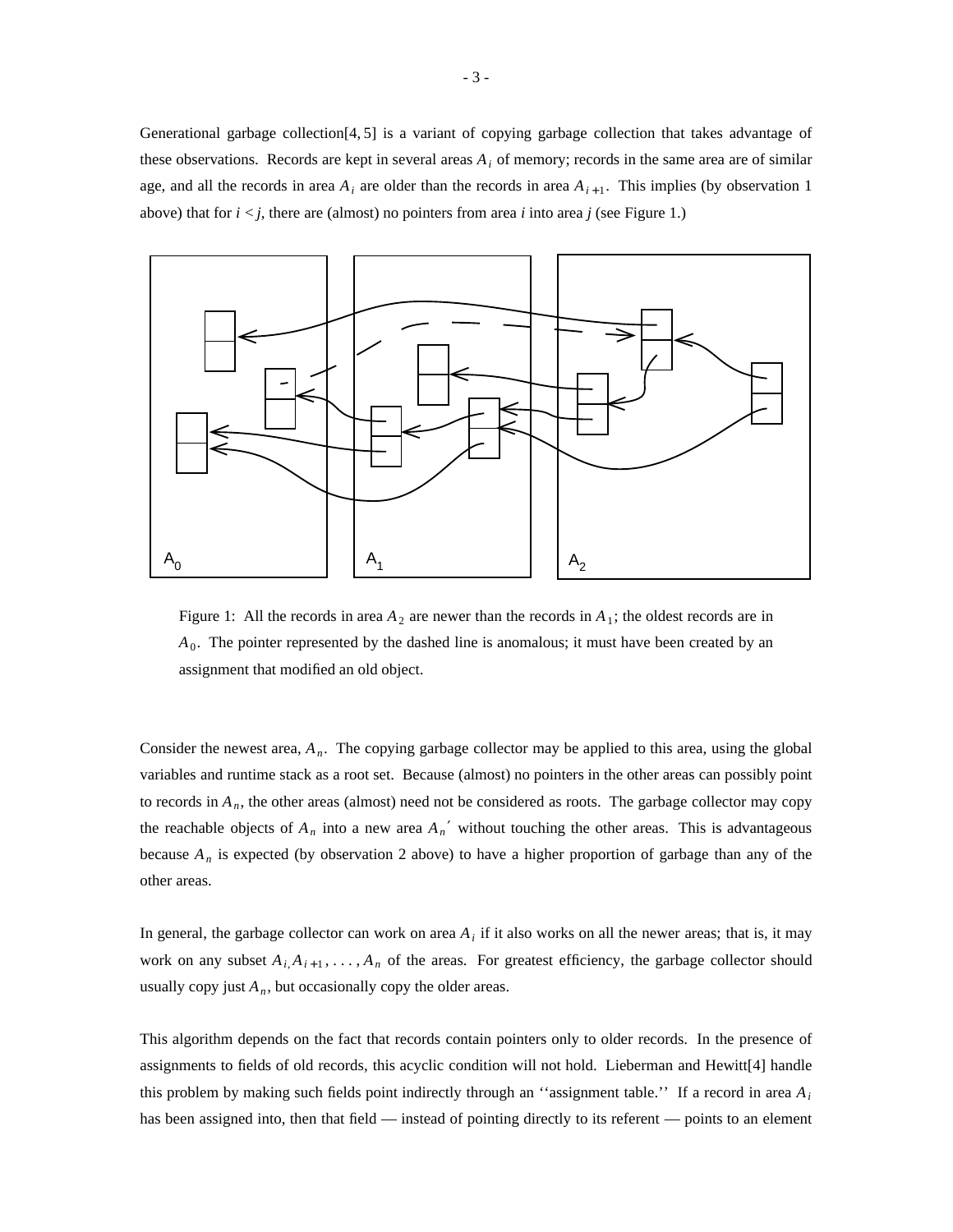Generational garbage collection[4, 5] is a variant of copying garbage collection that takes advantage of these observations. Records are kept in several areas  $A_i$  of memory; records in the same area are of similar age, and all the records in area  $A_i$  are older than the records in area  $A_{i+1}$ . This implies (by observation 1 above) that for  $i < j$ , there are (almost) no pointers from area  $i$  into area  $j$  (see Figure 1.)



Figure 1: All the records in area  $A_2$  are newer than the records in  $A_1$ ; the oldest records are in  $A_0$ . The pointer represented by the dashed line is anomalous; it must have been created by an assignment that modified an old object.

Consider the newest area, *A<sup>n</sup>* . The copying garbage collector may be applied to this area, using the global variables and runtime stack as a root set. Because (almost) no pointers in the other areas can possibly point to records in  $A_n$ , the other areas (almost) need not be considered as roots. The garbage collector may copy the reachable objects of  $A_n$  into a new area  $A_n'$  without touching the other areas. This is advantageous because *A<sup>n</sup>* is expected (by observation 2 above) to have a higher proportion of garbage than any of the other areas.

In general, the garbage collector can work on area  $A_i$  if it also works on all the newer areas; that is, it may work on any subset  $A_{i_1}A_{i_1}$ , ...,  $A_n$  of the areas. For greatest efficiency, the garbage collector should usually copy just  $A_n$ , but occasionally copy the older areas.

This algorithm depends on the fact that records contain pointers only to older records. In the presence of assignments to fields of old records, this acyclic condition will not hold. Lieberman and Hewitt[4] handle this problem by making such fields point indirectly through an ''assignment table.'' If a record in area *A<sup>i</sup>* has been assigned into, then that field — instead of pointing directly to its referent — points to an element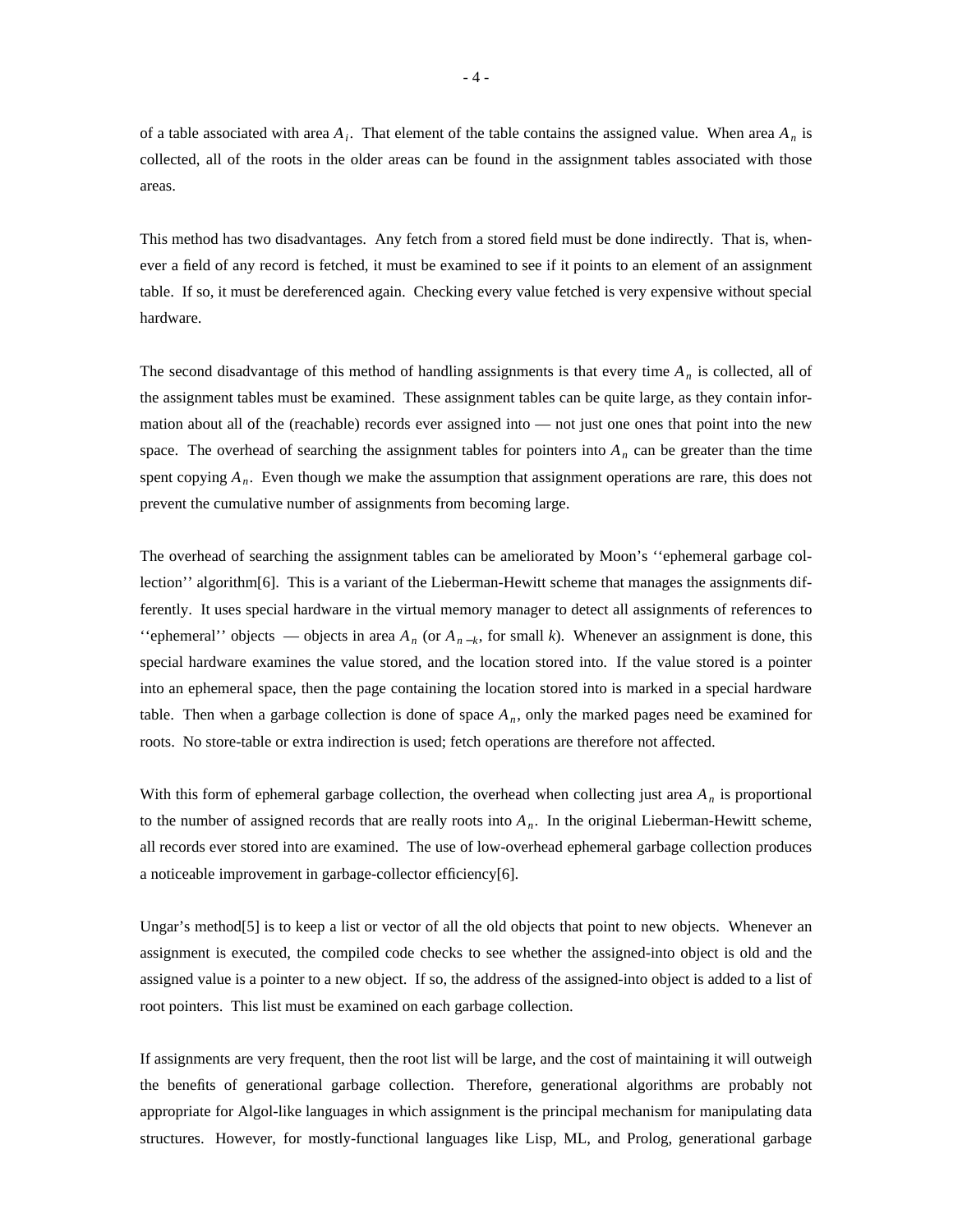of a table associated with area  $A_i$ . That element of the table contains the assigned value. When area  $A_n$  is collected, all of the roots in the older areas can be found in the assignment tables associated with those areas.

This method has two disadvantages. Any fetch from a stored field must be done indirectly. That is, whenever a field of any record is fetched, it must be examined to see if it points to an element of an assignment table. If so, it must be dereferenced again. Checking every value fetched is very expensive without special hardware.

The second disadvantage of this method of handling assignments is that every time *A<sup>n</sup>* is collected, all of the assignment tables must be examined. These assignment tables can be quite large, as they contain information about all of the (reachable) records ever assigned into — not just one ones that point into the new space. The overhead of searching the assignment tables for pointers into  $A_n$  can be greater than the time spent copying  $A_n$ . Even though we make the assumption that assignment operations are rare, this does not prevent the cumulative number of assignments from becoming large.

The overhead of searching the assignment tables can be ameliorated by Moon's ''ephemeral garbage collection'' algorithm[6]. This is a variant of the Lieberman-Hewitt scheme that manages the assignments differently. It uses special hardware in the virtual memory manager to detect all assignments of references to "ephemeral" objects — objects in area  $A_n$  (or  $A_{n-k}$ , for small k). Whenever an assignment is done, this special hardware examines the value stored, and the location stored into. If the value stored is a pointer into an ephemeral space, then the page containing the location stored into is marked in a special hardware table. Then when a garbage collection is done of space *A<sup>n</sup>* , only the marked pages need be examined for roots. No store-table or extra indirection is used; fetch operations are therefore not affected.

With this form of ephemeral garbage collection, the overhead when collecting just area *A<sup>n</sup>* is proportional to the number of assigned records that are really roots into  $A<sub>n</sub>$ . In the original Lieberman-Hewitt scheme, all records ever stored into are examined. The use of low-overhead ephemeral garbage collection produces a noticeable improvement in garbage-collector efficiency[6].

Ungar's method[5] is to keep a list or vector of all the old objects that point to new objects. Whenever an assignment is executed, the compiled code checks to see whether the assigned-into object is old and the assigned value is a pointer to a new object. If so, the address of the assigned-into object is added to a list of root pointers. This list must be examined on each garbage collection.

If assignments are very frequent, then the root list will be large, and the cost of maintaining it will outweigh the benefits of generational garbage collection. Therefore, generational algorithms are probably not appropriate for Algol-like languages in which assignment is the principal mechanism for manipulating data structures. However, for mostly-functional languages like Lisp, ML, and Prolog, generational garbage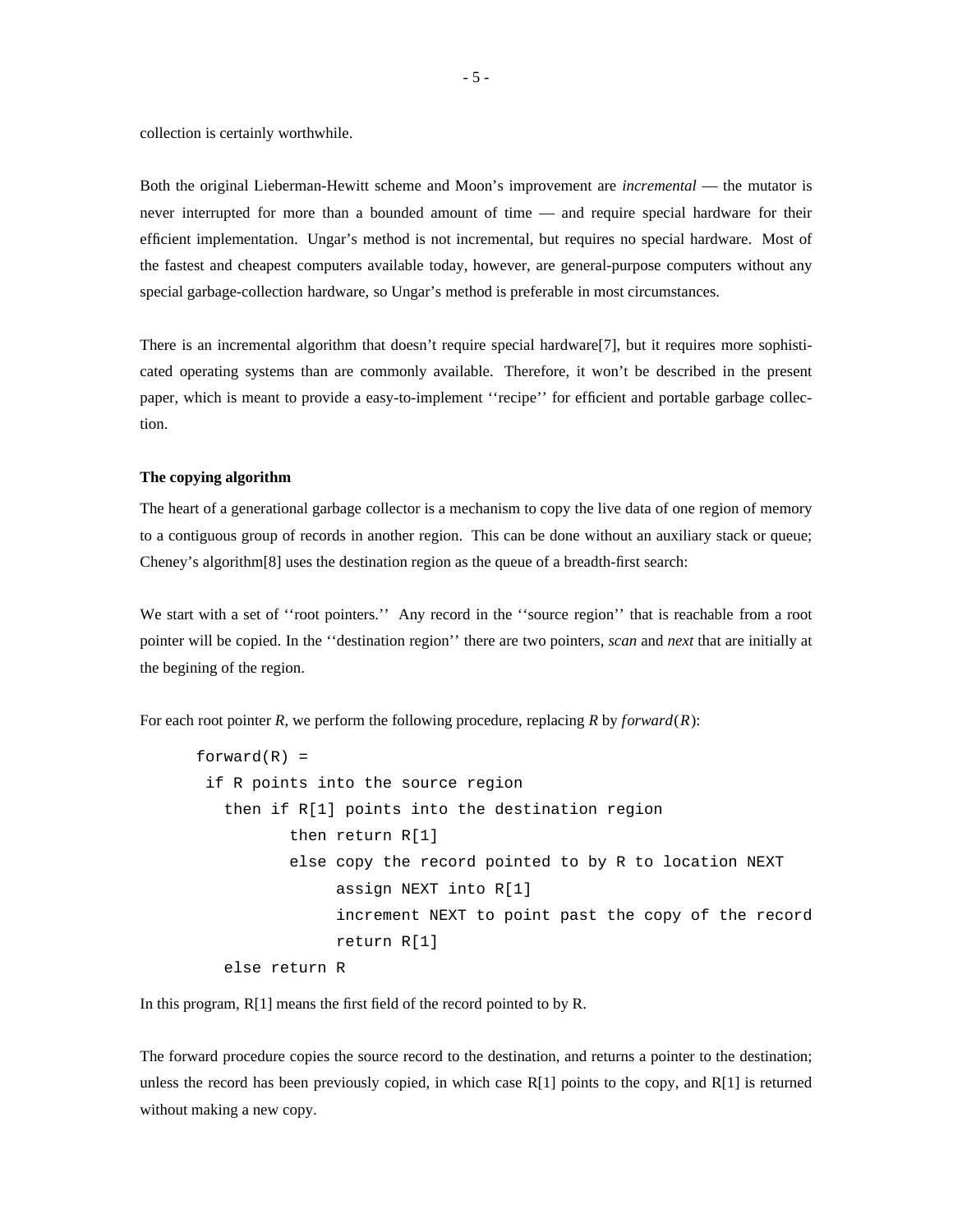collection is certainly worthwhile.

Both the original Lieberman-Hewitt scheme and Moon's improvement are *incremental* — the mutator is never interrupted for more than a bounded amount of time — and require special hardware for their efficient implementation. Ungar's method is not incremental, but requires no special hardware. Most of the fastest and cheapest computers available today, however, are general-purpose computers without any special garbage-collection hardware, so Ungar's method is preferable in most circumstances.

There is an incremental algorithm that doesn't require special hardware[7], but it requires more sophisticated operating systems than are commonly available. Therefore, it won't be described in the present paper, which is meant to provide a easy-to-implement ''recipe'' for efficient and portable garbage collection.

### **The copying algorithm**

The heart of a generational garbage collector is a mechanism to copy the live data of one region of memory to a contiguous group of records in another region. This can be done without an auxiliary stack or queue; Cheney's algorithm[8] uses the destination region as the queue of a breadth-first search:

We start with a set of "root pointers." Any record in the "source region" that is reachable from a root pointer will be copied. In the ''destination region'' there are two pointers, *scan* and *next* that are initially at the begining of the region.

For each root pointer *R*, we perform the following procedure, replacing *R* by *forward*(*R*):

```
forward(R) =if R points into the source region
 then if R[1] points into the destination region
        then return R[1]
        else copy the record pointed to by R to location NEXT
             assign NEXT into R[1]
             increment NEXT to point past the copy of the record
            return R[1]
else return R
```
In this program, R[1] means the first field of the record pointed to by R.

The forward procedure copies the source record to the destination, and returns a pointer to the destination; unless the record has been previously copied, in which case  $R[1]$  points to the copy, and  $R[1]$  is returned without making a new copy.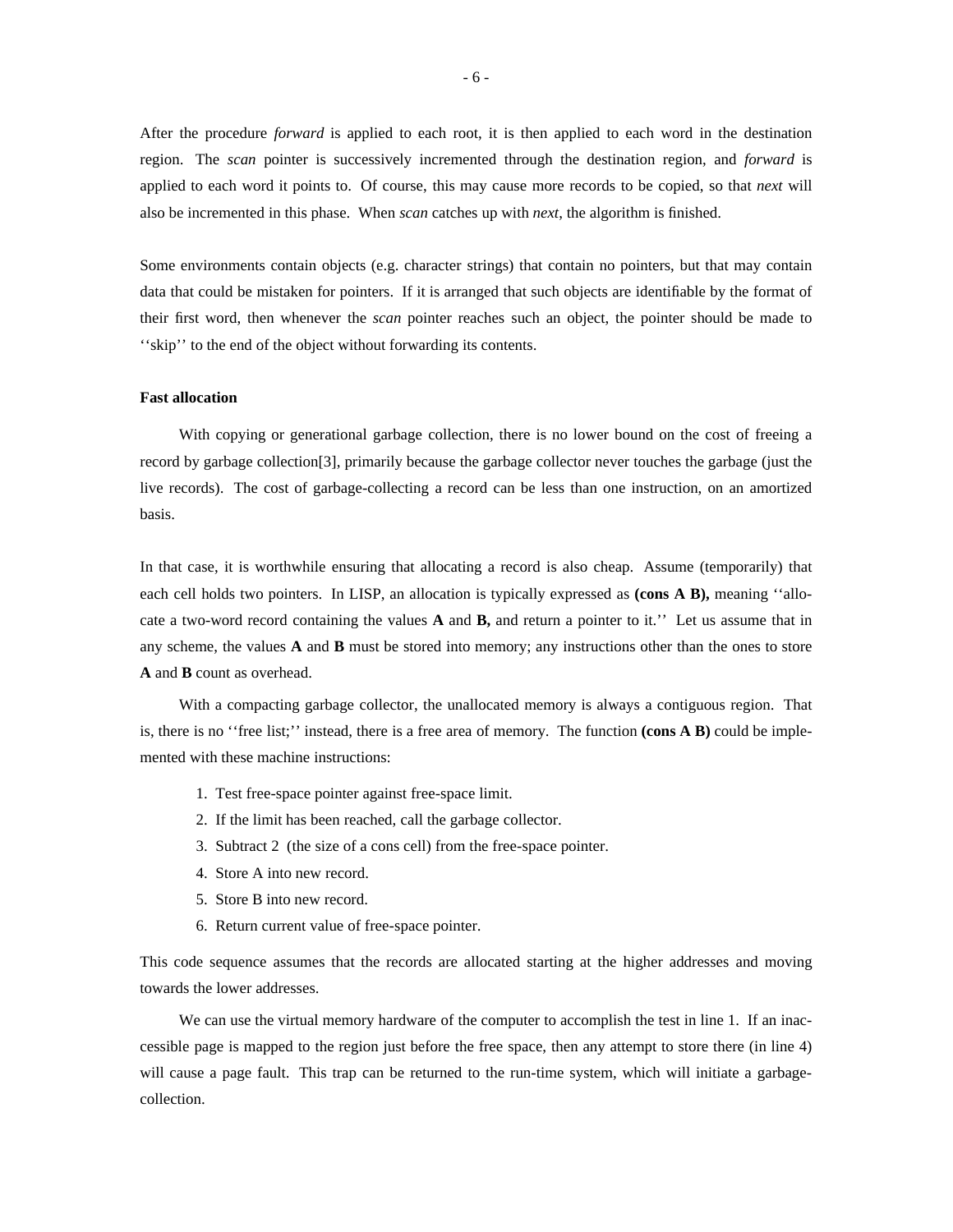After the procedure *forward* is applied to each root, it is then applied to each word in the destination region. The *scan* pointer is successively incremented through the destination region, and *forward* is applied to each word it points to. Of course, this may cause more records to be copied, so that *next* will also be incremented in this phase. When *scan* catches up with *next*, the algorithm is finished.

Some environments contain objects (e.g. character strings) that contain no pointers, but that may contain data that could be mistaken for pointers. If it is arranged that such objects are identifiable by the format of their first word, then whenever the *scan* pointer reaches such an object, the pointer should be made to ''skip'' to the end of the object without forwarding its contents.

#### **Fast allocation**

With copying or generational garbage collection, there is no lower bound on the cost of freeing a record by garbage collection[3], primarily because the garbage collector never touches the garbage (just the live records). The cost of garbage-collecting a record can be less than one instruction, on an amortized basis.

In that case, it is worthwhile ensuring that allocating a record is also cheap. Assume (temporarily) that each cell holds two pointers. In LISP, an allocation is typically expressed as **(cons A B),** meaning ''allocate a two-word record containing the values **A** and **B,** and return a pointer to it.'' Let us assume that in any scheme, the values **A** and **B** must be stored into memory; any instructions other than the ones to store **A** and **B** count as overhead.

With a compacting garbage collector, the unallocated memory is always a contiguous region. That is, there is no ''free list;'' instead, there is a free area of memory. The function **(cons A B)** could be implemented with these machine instructions:

- 1. Test free-space pointer against free-space limit.
- 2. If the limit has been reached, call the garbage collector.
- 3. Subtract 2 (the size of a cons cell) from the free-space pointer.
- 4. Store A into new record.
- 5. Store B into new record.
- 6. Return current value of free-space pointer.

This code sequence assumes that the records are allocated starting at the higher addresses and moving towards the lower addresses.

We can use the virtual memory hardware of the computer to accomplish the test in line 1. If an inaccessible page is mapped to the region just before the free space, then any attempt to store there (in line 4) will cause a page fault. This trap can be returned to the run-time system, which will initiate a garbagecollection.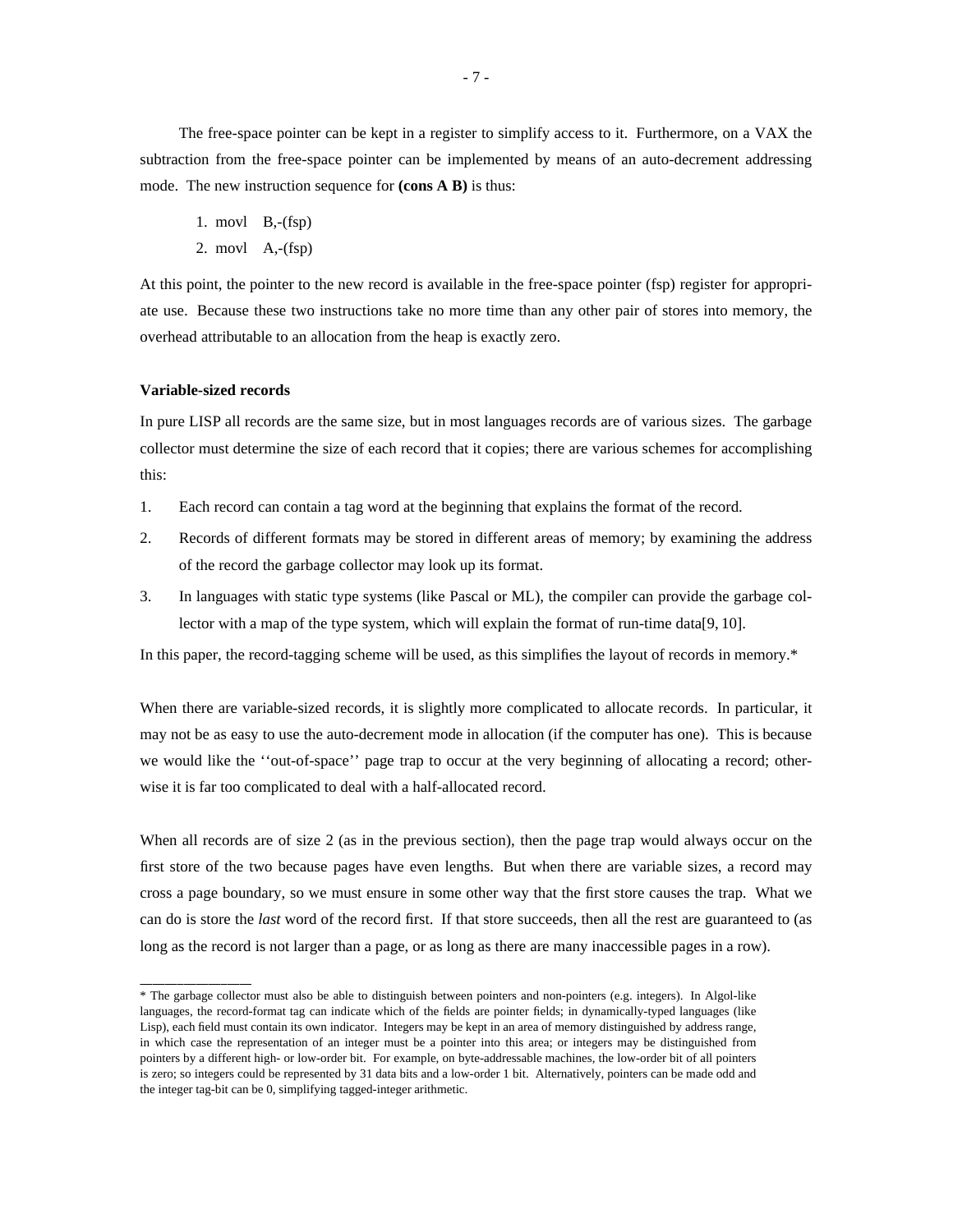The free-space pointer can be kept in a register to simplify access to it. Furthermore, on a VAX the subtraction from the free-space pointer can be implemented by means of an auto-decrement addressing mode. The new instruction sequence for **(cons A B)** is thus:

- 1. movl  $B_{\tau}$ -(fsp)
- 2. movl  $A,-(fsp)$

At this point, the pointer to the new record is available in the free-space pointer (fsp) register for appropriate use. Because these two instructions take no more time than any other pair of stores into memory, the overhead attributable to an allocation from the heap is exactly zero.

### **Variable-sized records**

In pure LISP all records are the same size, but in most languages records are of various sizes. The garbage collector must determine the size of each record that it copies; there are various schemes for accomplishing this:

- 1. Each record can contain a tag word at the beginning that explains the format of the record.
- 2. Records of different formats may be stored in different areas of memory; by examining the address of the record the garbage collector may look up its format.
- 3. In languages with static type systems (like Pascal or ML), the compiler can provide the garbage collector with a map of the type system, which will explain the format of run-time data[9, 10].

In this paper, the record-tagging scheme will be used, as this simplifies the layout of records in memory.\*

When there are variable-sized records, it is slightly more complicated to allocate records. In particular, it may not be as easy to use the auto-decrement mode in allocation (if the computer has one). This is because we would like the ''out-of-space'' page trap to occur at the very beginning of allocating a record; otherwise it is far too complicated to deal with a half-allocated record.

When all records are of size 2 (as in the previous section), then the page trap would always occur on the first store of the two because pages have even lengths. But when there are variable sizes, a record may cross a page boundary, so we must ensure in some other way that the first store causes the trap. What we can do is store the *last* word of the record first. If that store succeeds, then all the rest are guaranteed to (as long as the record is not larger than a page, or as long as there are many inaccessible pages in a row).

<sup>\*</sup> The garbage collector must also be able to distinguish between pointers and non-pointers (e.g. integers). In Algol-like languages, the record-format tag can indicate which of the fields are pointer fields; in dynamically-typed languages (like Lisp), each field must contain its own indicator. Integers may be kept in an area of memory distinguished by address range, in which case the representation of an integer must be a pointer into this area; or integers may be distinguished from pointers by a different high- or low-order bit. For example, on byte-addressable machines, the low-order bit of all pointers is zero; so integers could be represented by 31 data bits and a low-order 1 bit. Alternatively, pointers can be made odd and the integer tag-bit can be 0, simplifying tagged-integer arithmetic.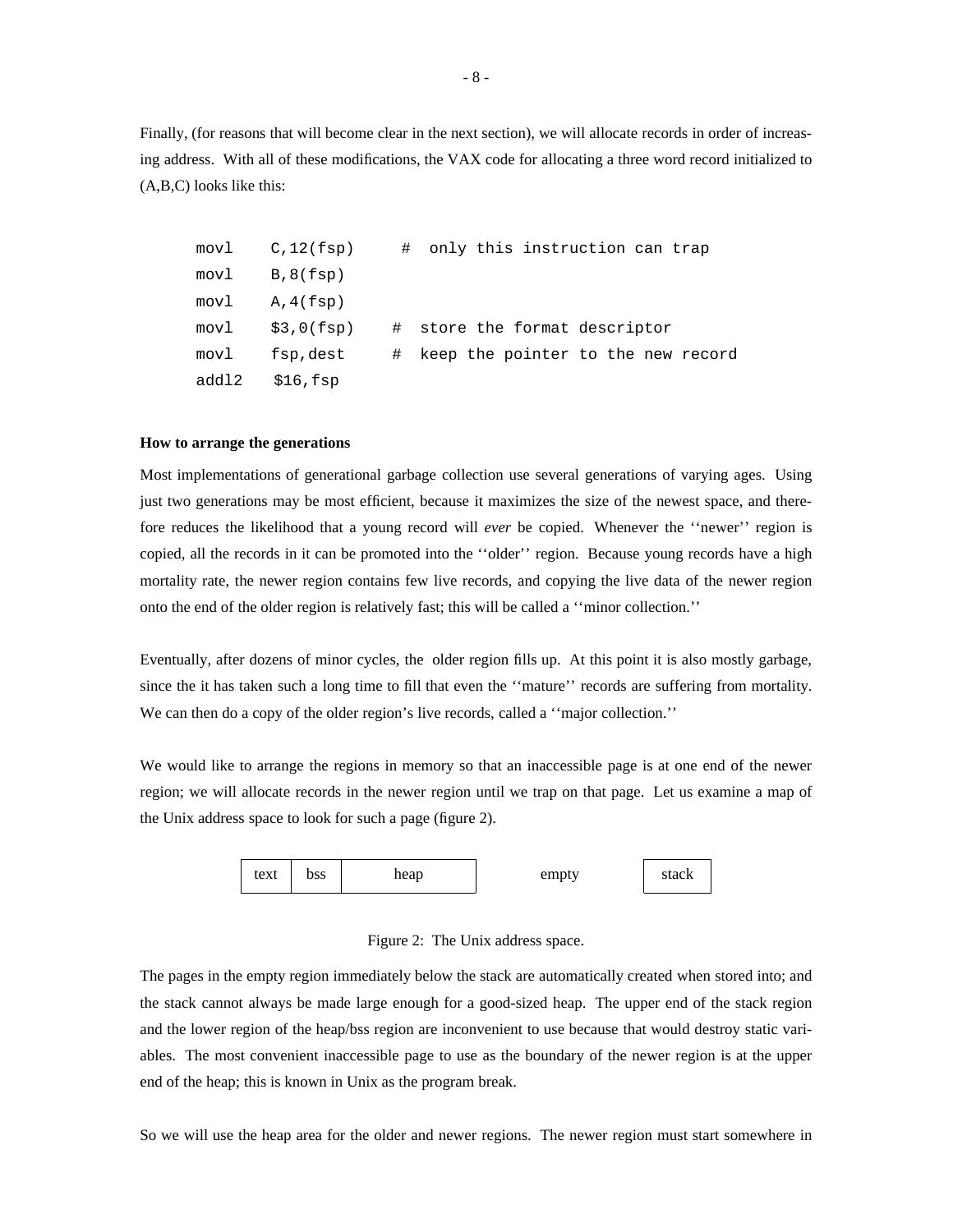Finally, (for reasons that will become clear in the next section), we will allocate records in order of increasing address. With all of these modifications, the VAX code for allocating a three word record initialized to (A,B,C) looks like this:

| movl  | C, 12(fsp) | # only this instruction can trap     |
|-------|------------|--------------------------------------|
| movl  | B, 8(fsp)  |                                      |
| movl  | A, 4(fsp)  |                                      |
| movl  | \$3,0(fsp) | # store the format descriptor        |
| movl  | fsp,dest   | # keep the pointer to the new record |
| addl2 | \$16,fsp   |                                      |

### **How to arrange the generations**

Most implementations of generational garbage collection use several generations of varying ages. Using just two generations may be most efficient, because it maximizes the size of the newest space, and therefore reduces the likelihood that a young record will *ever* be copied. Whenever the ''newer'' region is copied, all the records in it can be promoted into the ''older'' region. Because young records have a high mortality rate, the newer region contains few live records, and copying the live data of the newer region onto the end of the older region is relatively fast; this will be called a ''minor collection.''

Eventually, after dozens of minor cycles, the older region fills up. At this point it is also mostly garbage, since the it has taken such a long time to fill that even the ''mature'' records are suffering from mortality. We can then do a copy of the older region's live records, called a "major collection."

We would like to arrange the regions in memory so that an inaccessible page is at one end of the newer region; we will allocate records in the newer region until we trap on that page. Let us examine a map of the Unix address space to look for such a page (figure 2).



Figure 2: The Unix address space.

The pages in the empty region immediately below the stack are automatically created when stored into; and the stack cannot always be made large enough for a good-sized heap. The upper end of the stack region and the lower region of the heap/bss region are inconvenient to use because that would destroy static variables. The most convenient inaccessible page to use as the boundary of the newer region is at the upper end of the heap; this is known in Unix as the program break.

So we will use the heap area for the older and newer regions. The newer region must start somewhere in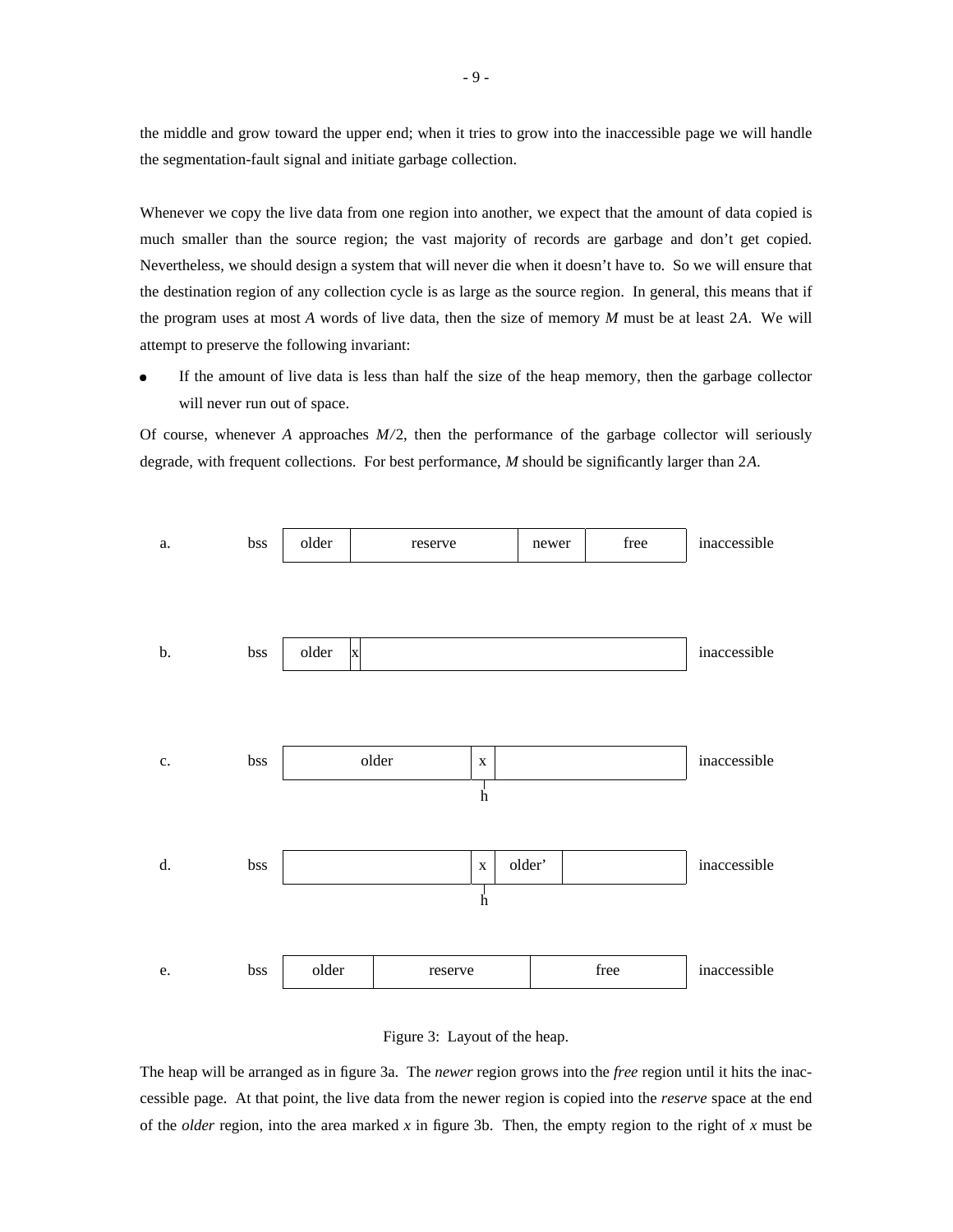the middle and grow toward the upper end; when it tries to grow into the inaccessible page we will handle the segmentation-fault signal and initiate garbage collection.

Whenever we copy the live data from one region into another, we expect that the amount of data copied is much smaller than the source region; the vast majority of records are garbage and don't get copied. Nevertheless, we should design a system that will never die when it doesn't have to. So we will ensure that the destination region of any collection cycle is as large as the source region. In general, this means that if the program uses at most *A* words of live data, then the size of memory *M* must be at least 2*A*. We will attempt to preserve the following invariant:

 If the amount of live data is less than half the size of the heap memory, then the garbage collector will never run out of space.

Of course, whenever *A* approaches *M/*2, then the performance of the garbage collector will seriously degrade, with frequent collections. For best performance, *M* should be significantly larger than 2*A*.



Figure 3: Layout of the heap.

The heap will be arranged as in figure 3a. The *newer* region grows into the *free* region until it hits the inaccessible page. At that point, the live data from the newer region is copied into the *reserve* space at the end of the *older* region, into the area marked *x* in figure 3b. Then, the empty region to the right of *x* must be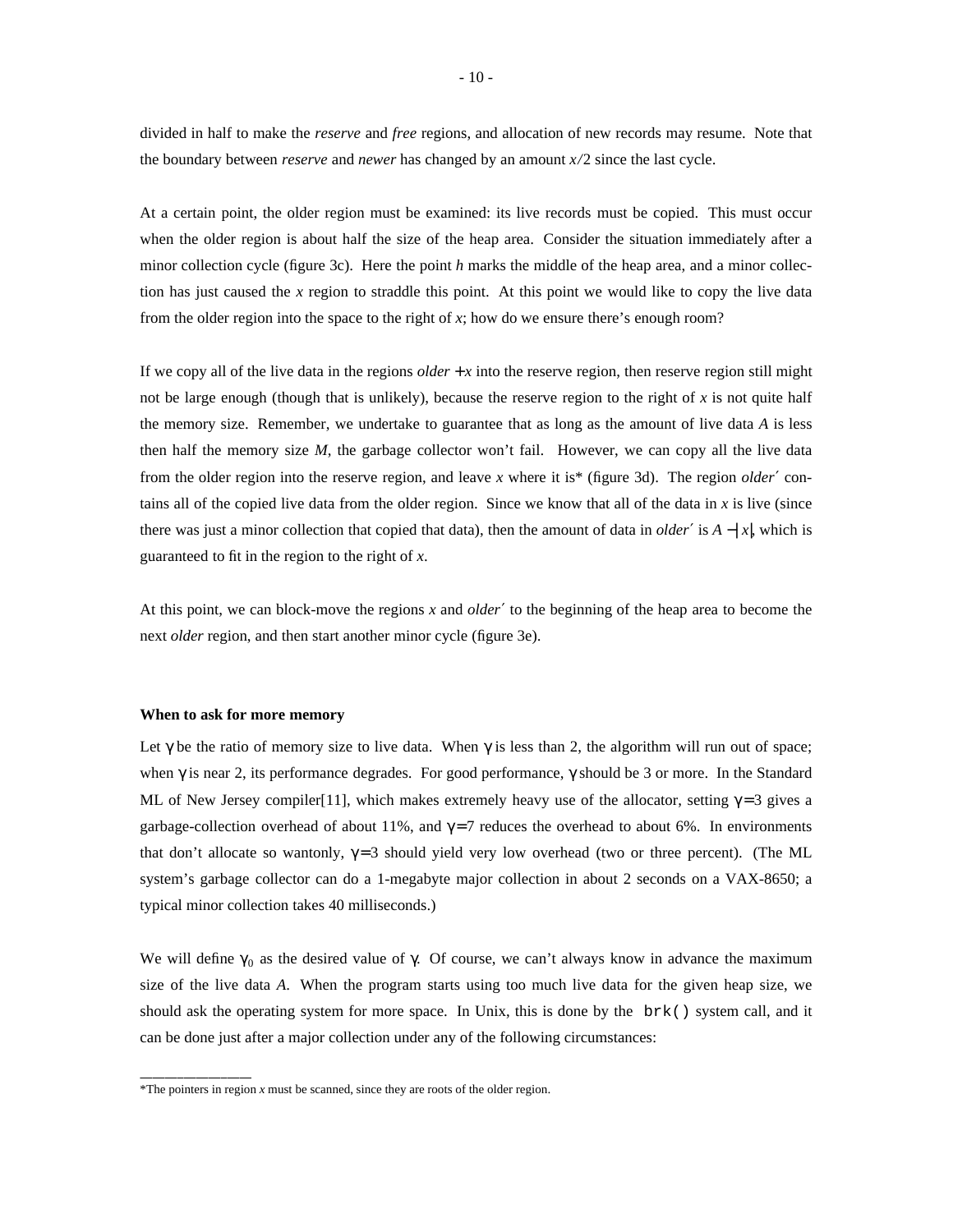divided in half to make the *reserve* and *free* regions, and allocation of new records may resume. Note that the boundary between *reserve* and *newer* has changed by an amount *x/*2 since the last cycle.

At a certain point, the older region must be examined: its live records must be copied. This must occur when the older region is about half the size of the heap area. Consider the situation immediately after a minor collection cycle (figure 3c). Here the point *h* marks the middle of the heap area, and a minor collection has just caused the *x* region to straddle this point. At this point we would like to copy the live data from the older region into the space to the right of *x*; how do we ensure there's enough room?

If we copy all of the live data in the regions  $older + x$  into the reserve region, then reserve region still might not be large enough (though that is unlikely), because the reserve region to the right of  $x$  is not quite half the memory size. Remember, we undertake to guarantee that as long as the amount of live data *A* is less then half the memory size *M*, the garbage collector won't fail. However, we can copy all the live data from the older region into the reserve region, and leave *x* where it is\* (figure 3d). The region *older*′ contains all of the copied live data from the older region. Since we know that all of the data in  $x$  is live (since there was just a minor collection that copied that data), then the amount of data in *older'* is  $A - |x|$ , which is guaranteed to fit in the region to the right of *x*.

At this point, we can block-move the regions *x* and *older*′ to the beginning of the heap area to become the next *older* region, and then start another minor cycle (figure 3e).

#### **When to ask for more memory**

Let  $\gamma$  be the ratio of memory size to live data. When  $\gamma$  is less than 2, the algorithm will run out of space; when  $\gamma$  is near 2, its performance degrades. For good performance,  $\gamma$  should be 3 or more. In the Standard ML of New Jersey compiler[11], which makes extremely heavy use of the allocator, setting  $\gamma = 3$  gives a garbage-collection overhead of about 11%, and  $\gamma = 7$  reduces the overhead to about 6%. In environments that don't allocate so wantonly,  $\gamma = 3$  should yield very low overhead (two or three percent). (The ML system's garbage collector can do a 1-megabyte major collection in about 2 seconds on a VAX-8650; a typical minor collection takes 40 milliseconds.)

We will define  $γ_0$  as the desired value of γ. Of course, we can't always know in advance the maximum size of the live data *A*. When the program starts using too much live data for the given heap size, we should ask the operating system for more space. In Unix, this is done by the brk() system call, and it can be done just after a major collection under any of the following circumstances:

<sup>\*</sup>The pointers in region *x* must be scanned, since they are roots of the older region.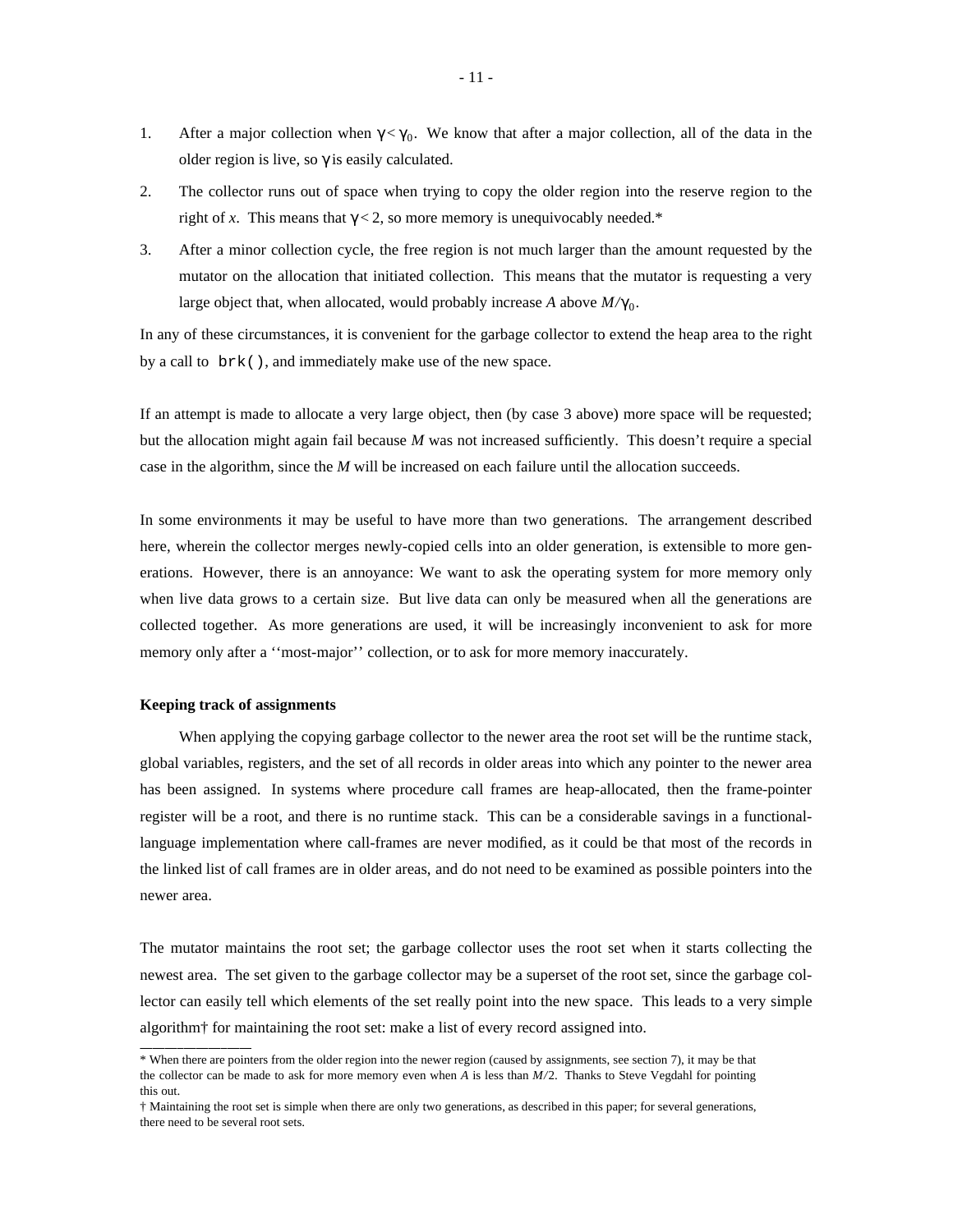- 1. After a major collection when  $\gamma < \gamma_0$ . We know that after a major collection, all of the data in the older region is live, so  $\gamma$  is easily calculated.
- 2. The collector runs out of space when trying to copy the older region into the reserve region to the right of *x*. This means that γ*<*2, so more memory is unequivocably needed.\*
- 3. After a minor collection cycle, the free region is not much larger than the amount requested by the mutator on the allocation that initiated collection. This means that the mutator is requesting a very large object that, when allocated, would probably increase *A* above  $M/\gamma_0$ .

In any of these circumstances, it is convenient for the garbage collector to extend the heap area to the right by a call to brk(), and immediately make use of the new space.

If an attempt is made to allocate a very large object, then (by case 3 above) more space will be requested; but the allocation might again fail because *M* was not increased sufficiently. This doesn't require a special case in the algorithm, since the *M* will be increased on each failure until the allocation succeeds.

In some environments it may be useful to have more than two generations. The arrangement described here, wherein the collector merges newly-copied cells into an older generation, is extensible to more generations. However, there is an annoyance: We want to ask the operating system for more memory only when live data grows to a certain size. But live data can only be measured when all the generations are collected together. As more generations are used, it will be increasingly inconvenient to ask for more memory only after a ''most-major'' collection, or to ask for more memory inaccurately.

### **Keeping track of assignments**

When applying the copying garbage collector to the newer area the root set will be the runtime stack, global variables, registers, and the set of all records in older areas into which any pointer to the newer area has been assigned. In systems where procedure call frames are heap-allocated, then the frame-pointer register will be a root, and there is no runtime stack. This can be a considerable savings in a functionallanguage implementation where call-frames are never modified, as it could be that most of the records in the linked list of call frames are in older areas, and do not need to be examined as possible pointers into the newer area.

The mutator maintains the root set; the garbage collector uses the root set when it starts collecting the newest area. The set given to the garbage collector may be a superset of the root set, since the garbage collector can easily tell which elements of the set really point into the new space. This leads to a very simple algorithm† for maintaining the root set: make a list of every record assigned into.

<sup>\*</sup> When there are pointers from the older region into the newer region (caused by assignments, see section 7), it may be that the collector can be made to ask for more memory even when *A* is less than *M/*2. Thanks to Steve Vegdahl for pointing this out.

<sup>†</sup> Maintaining the root set is simple when there are only two generations, as described in this paper; for several generations, there need to be several root sets.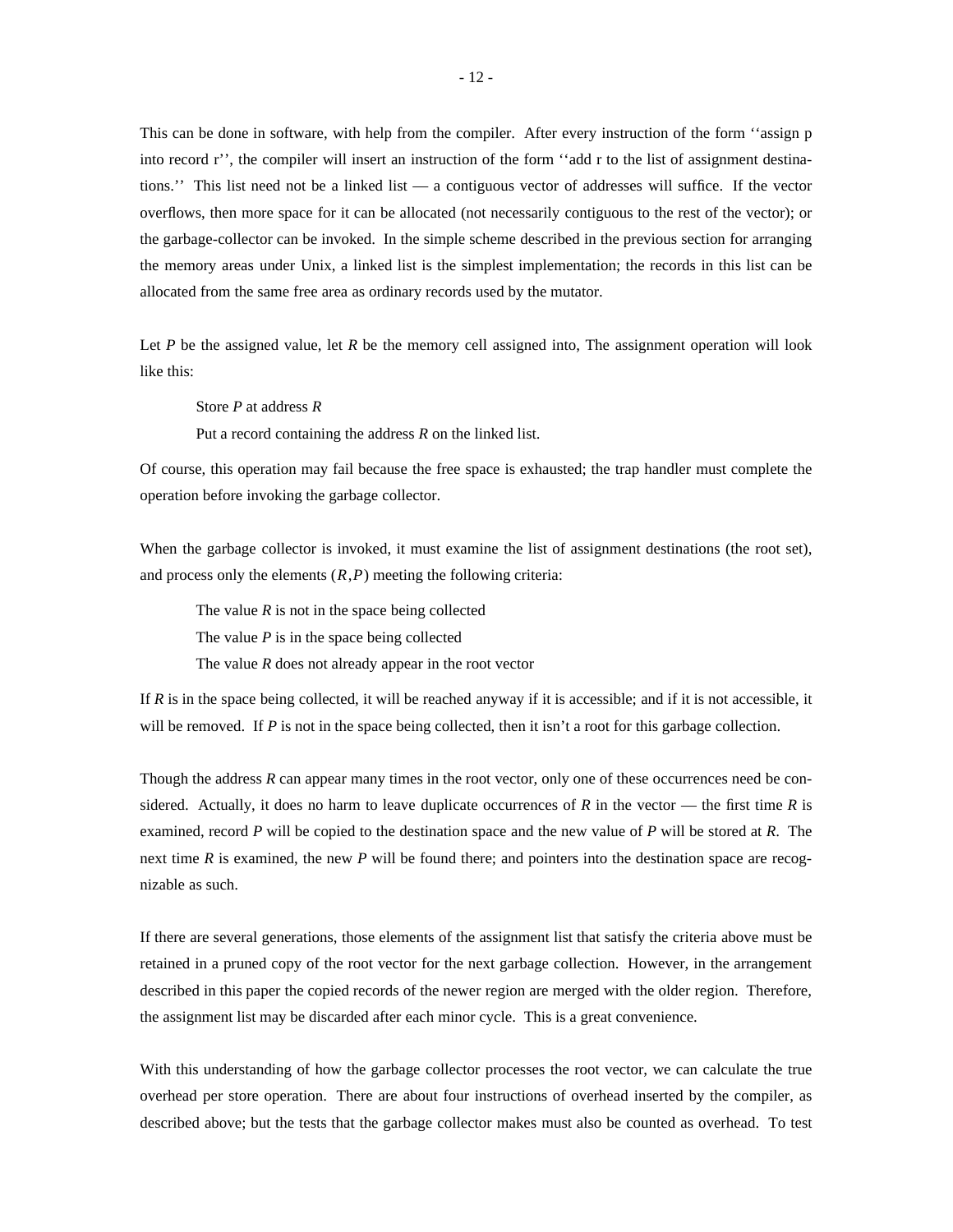This can be done in software, with help from the compiler. After every instruction of the form ''assign p into record r'', the compiler will insert an instruction of the form ''add r to the list of assignment destinations.'' This list need not be a linked list — a contiguous vector of addresses will suffice. If the vector overflows, then more space for it can be allocated (not necessarily contiguous to the rest of the vector); or the garbage-collector can be invoked. In the simple scheme described in the previous section for arranging the memory areas under Unix, a linked list is the simplest implementation; the records in this list can be allocated from the same free area as ordinary records used by the mutator.

Let  $P$  be the assigned value, let  $R$  be the memory cell assigned into, The assignment operation will look like this:

Store *P* at address *R* Put a record containing the address *R* on the linked list.

Of course, this operation may fail because the free space is exhausted; the trap handler must complete the operation before invoking the garbage collector.

When the garbage collector is invoked, it must examine the list of assignment destinations (the root set), and process only the elements  $(R, P)$  meeting the following criteria:

The value *R* is not in the space being collected The value *P* is in the space being collected The value *R* does not already appear in the root vector

If *R* is in the space being collected, it will be reached anyway if it is accessible; and if it is not accessible, it will be removed. If  $P$  is not in the space being collected, then it isn't a root for this garbage collection.

Though the address *R* can appear many times in the root vector, only one of these occurrences need be considered. Actually, it does no harm to leave duplicate occurrences of  $R$  in the vector — the first time  $R$  is examined, record *P* will be copied to the destination space and the new value of *P* will be stored at *R*. The next time  $R$  is examined, the new  $P$  will be found there; and pointers into the destination space are recognizable as such.

If there are several generations, those elements of the assignment list that satisfy the criteria above must be retained in a pruned copy of the root vector for the next garbage collection. However, in the arrangement described in this paper the copied records of the newer region are merged with the older region. Therefore, the assignment list may be discarded after each minor cycle. This is a great convenience.

With this understanding of how the garbage collector processes the root vector, we can calculate the true overhead per store operation. There are about four instructions of overhead inserted by the compiler, as described above; but the tests that the garbage collector makes must also be counted as overhead. To test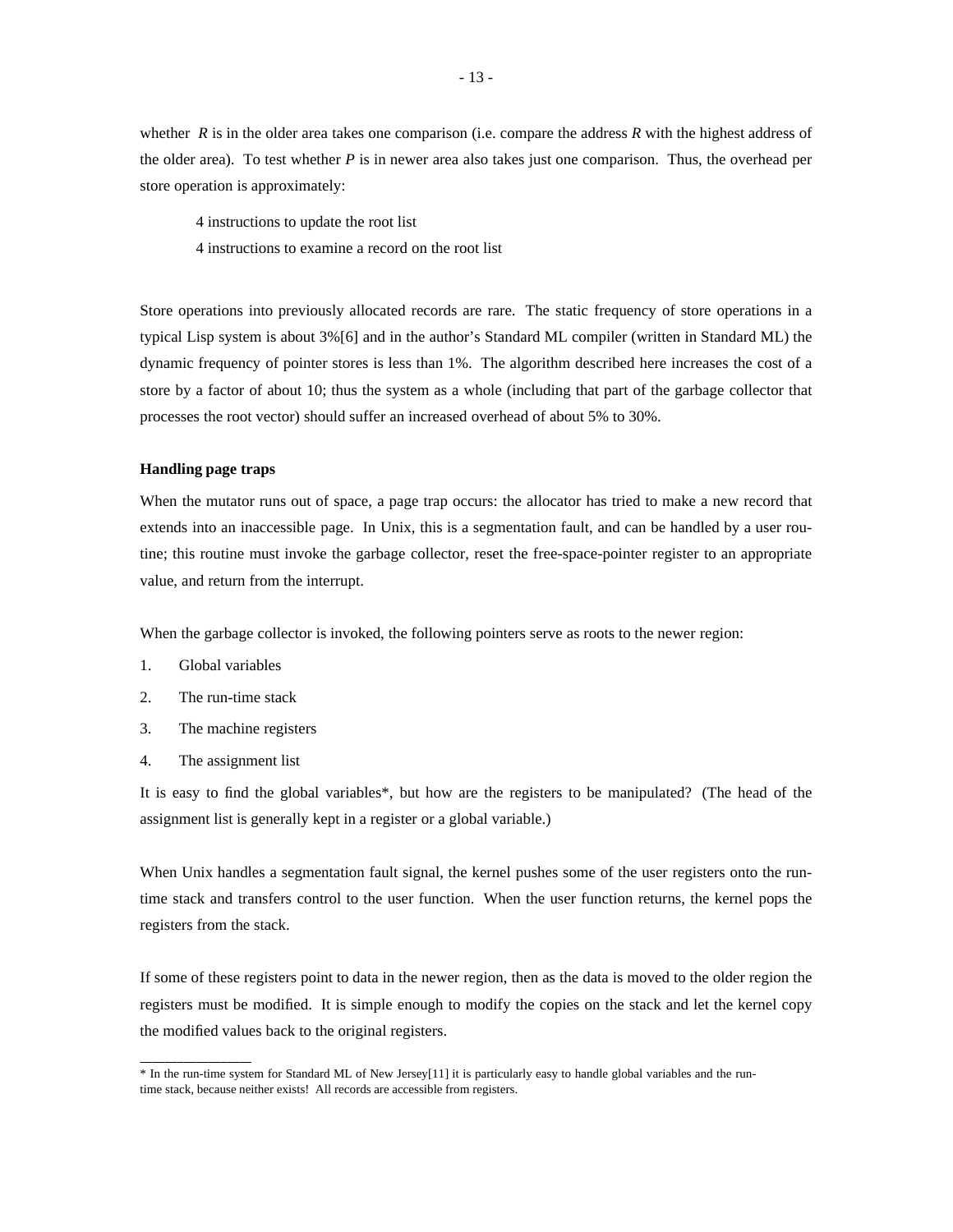whether *R* is in the older area takes one comparison (i.e. compare the address *R* with the highest address of the older area). To test whether  $P$  is in newer area also takes just one comparison. Thus, the overhead per store operation is approximately:

- 4 instructions to update the root list
- 4 instructions to examine a record on the root list

Store operations into previously allocated records are rare. The static frequency of store operations in a typical Lisp system is about 3%[6] and in the author's Standard ML compiler (written in Standard ML) the dynamic frequency of pointer stores is less than 1%. The algorithm described here increases the cost of a store by a factor of about 10; thus the system as a whole (including that part of the garbage collector that processes the root vector) should suffer an increased overhead of about 5% to 30%.

# **Handling page traps**

When the mutator runs out of space, a page trap occurs: the allocator has tried to make a new record that extends into an inaccessible page. In Unix, this is a segmentation fault, and can be handled by a user routine; this routine must invoke the garbage collector, reset the free-space-pointer register to an appropriate value, and return from the interrupt.

When the garbage collector is invoked, the following pointers serve as roots to the newer region:

- 1. Global variables
- 2. The run-time stack
- 3. The machine registers
- 4. The assignment list

It is easy to find the global variables\*, but how are the registers to be manipulated? (The head of the assignment list is generally kept in a register or a global variable.)

When Unix handles a segmentation fault signal, the kernel pushes some of the user registers onto the runtime stack and transfers control to the user function. When the user function returns, the kernel pops the registers from the stack.

If some of these registers point to data in the newer region, then as the data is moved to the older region the registers must be modified. It is simple enough to modify the copies on the stack and let the kernel copy the modified values back to the original registers.

<sup>\*</sup> In the run-time system for Standard ML of New Jersey[11] it is particularly easy to handle global variables and the runtime stack, because neither exists! All records are accessible from registers.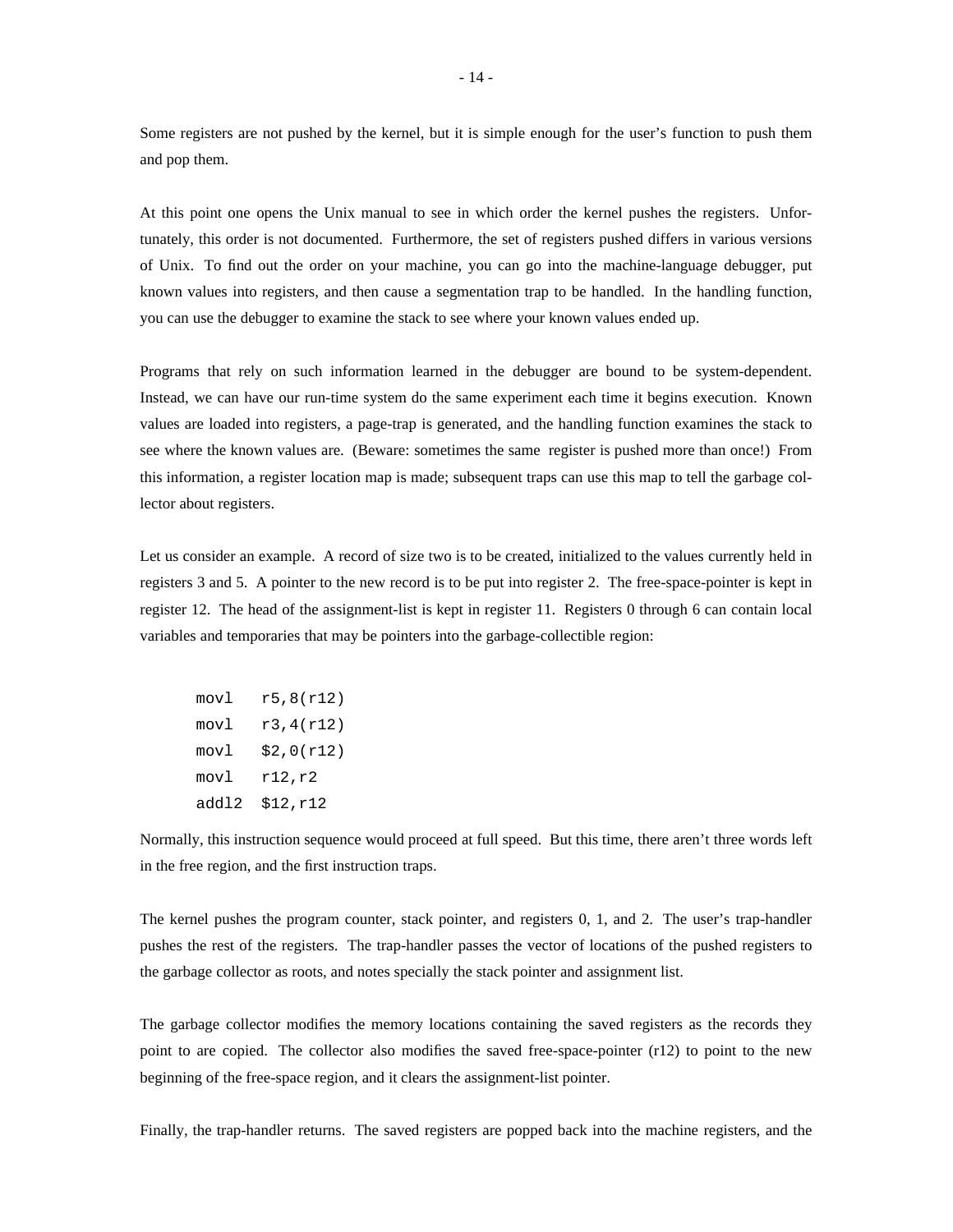Some registers are not pushed by the kernel, but it is simple enough for the user's function to push them and pop them.

At this point one opens the Unix manual to see in which order the kernel pushes the registers. Unfortunately, this order is not documented. Furthermore, the set of registers pushed differs in various versions of Unix. To find out the order on your machine, you can go into the machine-language debugger, put known values into registers, and then cause a segmentation trap to be handled. In the handling function, you can use the debugger to examine the stack to see where your known values ended up.

Programs that rely on such information learned in the debugger are bound to be system-dependent. Instead, we can have our run-time system do the same experiment each time it begins execution. Known values are loaded into registers, a page-trap is generated, and the handling function examines the stack to see where the known values are. (Beware: sometimes the same register is pushed more than once!) From this information, a register location map is made; subsequent traps can use this map to tell the garbage collector about registers.

Let us consider an example. A record of size two is to be created, initialized to the values currently held in registers 3 and 5. A pointer to the new record is to be put into register 2. The free-space-pointer is kept in register 12. The head of the assignment-list is kept in register 11. Registers 0 through 6 can contain local variables and temporaries that may be pointers into the garbage-collectible region:

| movl  | r5,8(r12)  |
|-------|------------|
| movl  | r3,4(r12)  |
| movl  | \$2.0(r12) |
| movl  | r12,r2     |
| add12 | \$12, r12  |

Normally, this instruction sequence would proceed at full speed. But this time, there aren't three words left in the free region, and the first instruction traps.

The kernel pushes the program counter, stack pointer, and registers 0, 1, and 2. The user's trap-handler pushes the rest of the registers. The trap-handler passes the vector of locations of the pushed registers to the garbage collector as roots, and notes specially the stack pointer and assignment list.

The garbage collector modifies the memory locations containing the saved registers as the records they point to are copied. The collector also modifies the saved free-space-pointer (r12) to point to the new beginning of the free-space region, and it clears the assignment-list pointer.

Finally, the trap-handler returns. The saved registers are popped back into the machine registers, and the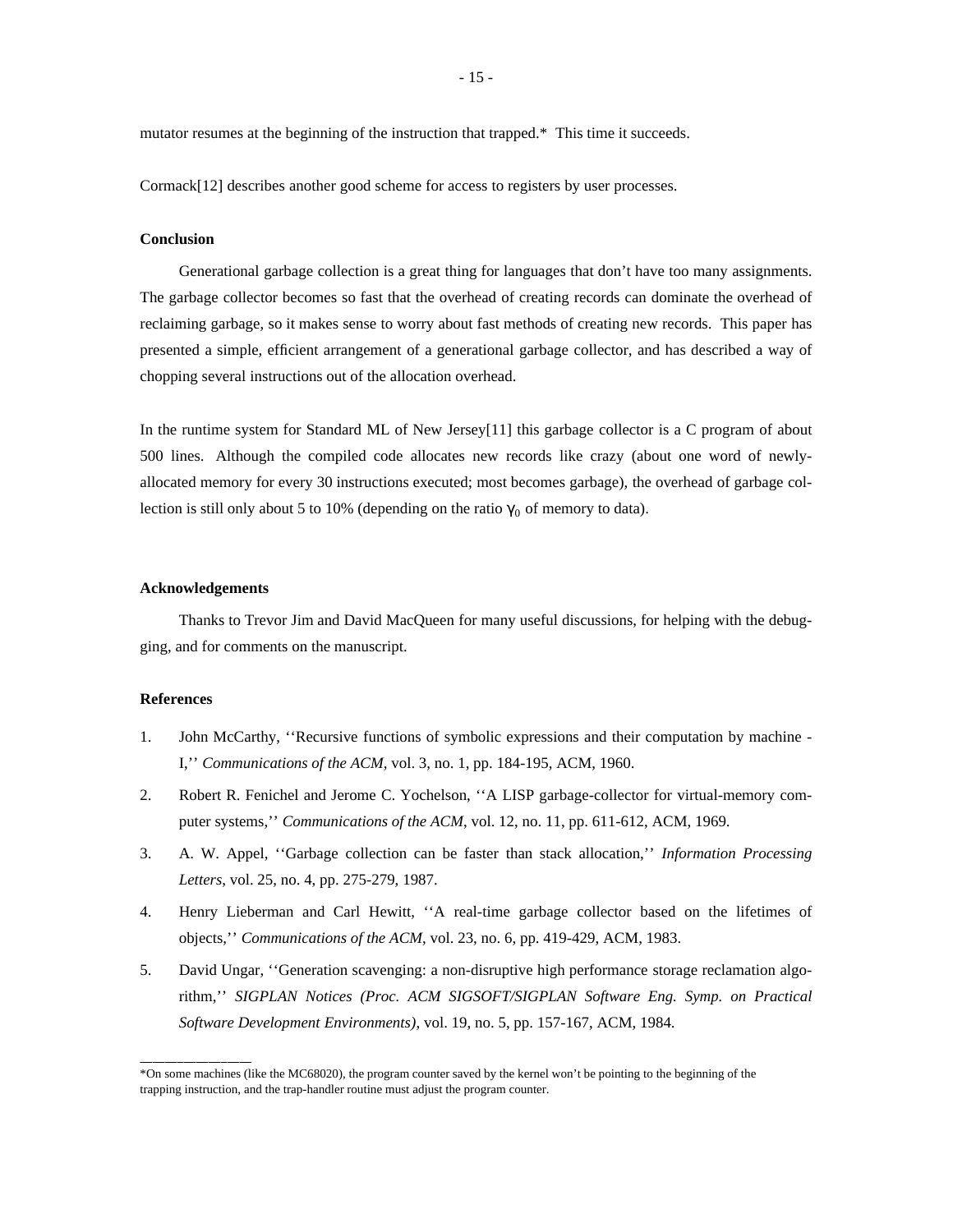mutator resumes at the beginning of the instruction that trapped.\* This time it succeeds.

Cormack[12] describes another good scheme for access to registers by user processes.

## **Conclusion**

Generational garbage collection is a great thing for languages that don't have too many assignments. The garbage collector becomes so fast that the overhead of creating records can dominate the overhead of reclaiming garbage, so it makes sense to worry about fast methods of creating new records. This paper has presented a simple, efficient arrangement of a generational garbage collector, and has described a way of chopping several instructions out of the allocation overhead.

In the runtime system for Standard ML of New Jersey[11] this garbage collector is a C program of about 500 lines. Although the compiled code allocates new records like crazy (about one word of newlyallocated memory for every 30 instructions executed; most becomes garbage), the overhead of garbage collection is still only about 5 to 10% (depending on the ratio  $\gamma_0$  of memory to data).

## **Acknowledgements**

Thanks to Trevor Jim and David MacQueen for many useful discussions, for helping with the debugging, and for comments on the manuscript.

#### **References**

- 1. John McCarthy, ''Recursive functions of symbolic expressions and their computation by machine I,'' *Communications of the ACM*, vol. 3, no. 1, pp. 184-195, ACM, 1960.
- 2. Robert R. Fenichel and Jerome C. Yochelson, ''A LISP garbage-collector for virtual-memory computer systems," *Communications of the ACM*, vol. 12, no. 11, pp. 611-612, ACM, 1969.
- 3. A. W. Appel, ''Garbage collection can be faster than stack allocation,'' *Information Processing Letters*, vol. 25, no. 4, pp. 275-279, 1987.
- 4. Henry Lieberman and Carl Hewitt, ''A real-time garbage collector based on the lifetimes of objects,'' *Communications of the ACM*, vol. 23, no. 6, pp. 419-429, ACM, 1983.
- 5. David Ungar, ''Generation scavenging: a non-disruptive high performance storage reclamation algorithm,'' *SIGPLAN Notices (Proc. ACM SIGSOFT/SIGPLAN Software Eng. Symp. on Practical Software Development Environments)*, vol. 19, no. 5, pp. 157-167, ACM, 1984.

<sup>\*</sup>On some machines (like the MC68020), the program counter saved by the kernel won't be pointing to the beginning of the trapping instruction, and the trap-handler routine must adjust the program counter.